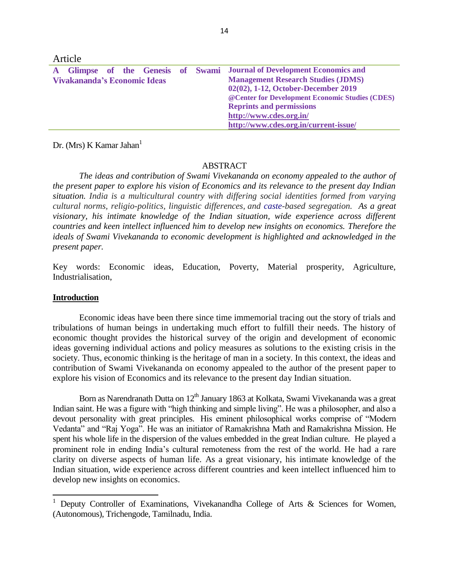| Article                      |  |  |  |  |  |  |                                                                      |
|------------------------------|--|--|--|--|--|--|----------------------------------------------------------------------|
|                              |  |  |  |  |  |  | Glimpse of the Genesis of Swami Journal of Development Economics and |
| Vivakananda's Economic Ideas |  |  |  |  |  |  | <b>Management Research Studies (JDMS)</b>                            |
|                              |  |  |  |  |  |  | 02(02), 1-12, October-December 2019                                  |
|                              |  |  |  |  |  |  | @ Center for Development Economic Studies (CDES)                     |
|                              |  |  |  |  |  |  | <b>Reprints and permissions</b>                                      |
|                              |  |  |  |  |  |  | http://www.cdes.org.in/                                              |
|                              |  |  |  |  |  |  | http://www.cdes.org.in/current-issue/                                |

Dr. (Mrs) K Kamar Jahan<sup>1</sup>

# ABSTRACT

*The ideas and contribution of Swami Vivekananda on economy appealed to the author of the present paper to explore his vision of Economics and its relevance to the present day Indian situation. India is a multicultural country with differing social identities formed from varying cultural norms, religio-politics, linguistic differences, and [caste-](https://en.wikipedia.org/wiki/Caste_system_in_India)based segregation. As a great visionary, his intimate knowledge of the Indian situation, wide experience across different countries and keen intellect influenced him to develop new insights on economics. Therefore the ideals of Swami Vivekananda to economic development is highlighted and acknowledged in the present paper.*

Key words: Economic ideas, Education, Poverty, Material prosperity, Agriculture, Industrialisation,

### **Introduction**

 $\overline{a}$ 

Economic ideas have been there since time immemorial tracing out the story of trials and tribulations of human beings in undertaking much effort to fulfill their needs. The history of economic thought provides the historical survey of the origin and development of economic ideas governing individual actions and policy measures as solutions to the existing crisis in the society. Thus, economic thinking is the heritage of man in a society. In this context, the ideas and contribution of Swami Vivekananda on economy appealed to the author of the present paper to explore his vision of Economics and its relevance to the present day Indian situation.

Born as Narendranath Dutta on 12<sup>th</sup> January 1863 at Kolkata, Swami Vivekananda was a great Indian saint. He was a figure with "high thinking and simple living". He was a philosopher, and also a devout personality with great principles. His eminent philosophical works comprise of "Modern Vedanta" and "Raj Yoga". He was an initiator of Ramakrishna Math and Ramakrishna Mission. He spent his whole life in the dispersion of the values embedded in the great Indian culture. He played a prominent role in ending India's cultural remoteness from the rest of the world. He had a rare clarity on diverse aspects of human life. As a great visionary, his intimate knowledge of the Indian situation, wide experience across different countries and keen intellect influenced him to develop new insights on economics.

<sup>&</sup>lt;sup>1</sup> Deputy Controller of Examinations, Vivekanandha College of Arts  $\&$  Sciences for Women, (Autonomous), Trichengode, Tamilnadu, India.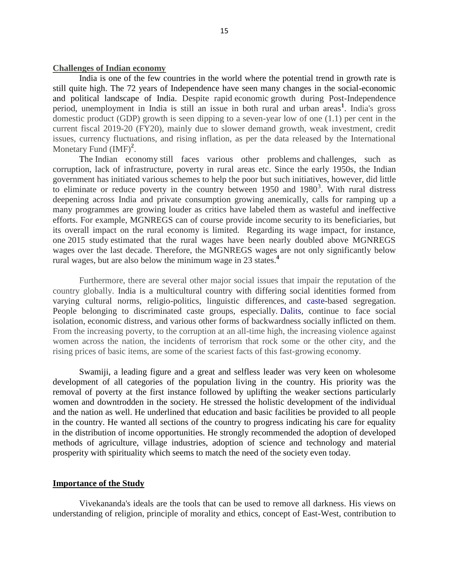### **Challenges of Indian economy**

India is one of the few countries in the world where the potential trend in growth rate is still quite high. The 72 years of Independence have seen many changes in the social-economic and political landscape of India. Despite rapid economic growth during Post-Independence period, unemployment in India is still an issue in both rural and urban areas**<sup>1</sup>** . India's gross domestic product (GDP) growth is seen dipping to a seven-year low of one (1.1) per cent in the current fiscal 2019-20 (FY20), mainly due to slower demand growth, weak investment, credit issues, currency fluctuations, and rising inflation, as per the data released by the International Monetary Fund (IMF)<sup>2</sup>.

The Indian economy still faces various other problems and challenges, such as corruption, lack of infrastructure, poverty in rural areas etc. Since the early 1950s, the Indian government has initiated various schemes to help the poor but such initiatives, however, did little to eliminate or reduce poverty in the country between  $1950$  and  $1980<sup>3</sup>$ . With rural distress deepening across India and private consumption growing anemically, calls for ramping up a many programmes are growing louder as critics have labeled them as wasteful and ineffective efforts. For example, MGNREGS can of course provide income security to its beneficiaries, but its overall impact on the rural economy is limited. Regarding its wage impact, for instance, one 2015 study estimated that the rural wages have been nearly doubled above MGNREGS wages over the last decade. Therefore, the MGNREGS wages are not only significantly below rural wages, but are also below the minimum wage in 23 states.**<sup>4</sup>**

Furthermore, there are several other major social issues that impair the reputation of the country globally. India is a multicultural country with differing social identities formed from varying cultural norms, religio-politics, linguistic differences, and [caste-](https://en.wikipedia.org/wiki/Caste_system_in_India)based segregation. People belonging to discriminated caste groups, especially. [Dalits,](https://en.wikipedia.org/wiki/Dalit) continue to face social isolation, economic distress, and various other forms of backwardness socially inflicted on them. From the increasing poverty, to the corruption at an all-time high, the increasing violence against women across the nation, the incidents of terrorism that rock some or the other city, and the rising prices of basic items, are some of the scariest facts of this fast-growing economy.

Swamiji, a leading figure and a great and selfless leader was very keen on wholesome development of all categories of the population living in the country. His priority was the removal of poverty at the first instance followed by uplifting the weaker sections particularly women and downtrodden in the society. He stressed the holistic development of the individual and the nation as well. He underlined that education and basic facilities be provided to all people in the country. He wanted all sections of the country to progress indicating his care for equality in the distribution of income opportunities. He strongly recommended the adoption of developed methods of agriculture, village industries, adoption of science and technology and material prosperity with spirituality which seems to match the need of the society even today.

## **Importance of the Study**

Vivekananda's ideals are the tools that can be used to remove all darkness. His views on understanding of religion, principle of morality and ethics, concept of East-West, contribution to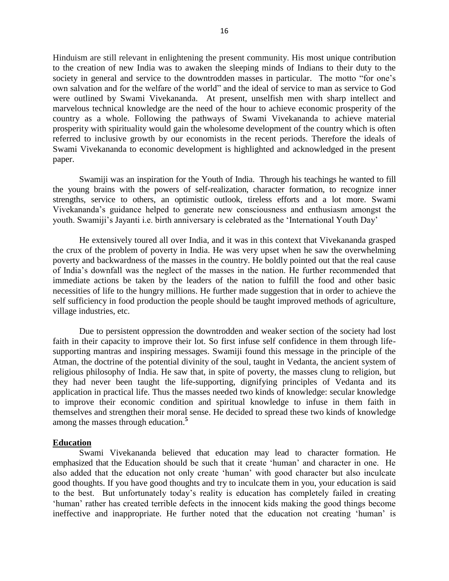Hinduism are still relevant in enlightening the present community. His most unique contribution to the creation of new India was to awaken the sleeping minds of Indians to their duty to the society in general and service to the downtrodden masses in particular. The motto "for one's own salvation and for the welfare of the world" and the ideal of service to man as service to God were outlined by Swami Vivekananda. At present, unselfish men with sharp intellect and marvelous technical knowledge are the need of the hour to achieve economic prosperity of the country as a whole. Following the pathways of Swami Vivekananda to achieve material prosperity with spirituality would gain the wholesome development of the country which is often referred to inclusive growth by our economists in the recent periods. Therefore the ideals of Swami Vivekananda to economic development is highlighted and acknowledged in the present paper.

Swamiji was an inspiration for the Youth of India. Through his teachings he wanted to fill the young brains with the powers of self-realization, character formation, to recognize inner strengths, service to others, an optimistic outlook, tireless efforts and a lot more. Swami Vivekananda's guidance helped to generate new consciousness and enthusiasm amongst the youth. Swamiji's Jayanti i.e. birth anniversary is celebrated as the 'International Youth Day'

He extensively toured all over India, and it was in this context that Vivekananda grasped the crux of the problem of poverty in India. He was very upset when he saw the overwhelming poverty and backwardness of the masses in the country. He boldly pointed out that the real cause of India's downfall was the neglect of the masses in the nation. He further recommended that immediate actions be taken by the leaders of the nation to fulfill the food and other basic necessities of life to the hungry millions. He further made suggestion that in order to achieve the self sufficiency in food production the people should be taught improved methods of agriculture, village industries, etc.

Due to persistent oppression the downtrodden and weaker section of the society had lost faith in their capacity to improve their lot. So first infuse self confidence in them through lifesupporting mantras and inspiring messages. Swamiji found this message in the principle of the Atman, the doctrine of the potential divinity of the soul, taught in Vedanta, the ancient system of religious philosophy of India. He saw that, in spite of poverty, the masses clung to religion, but they had never been taught the life-supporting, dignifying principles of Vedanta and its application in practical life. Thus the masses needed two kinds of knowledge: secular knowledge to improve their economic condition and spiritual knowledge to infuse in them faith in themselves and strengthen their moral sense. He decided to spread these two kinds of knowledge among the masses through education.**<sup>5</sup>**

### **Education**

Swami Vivekananda believed that education may lead to character formation. He emphasized that the Education should be such that it create 'human' and character in one. He also added that the education not only create 'human' with good character but also inculcate good thoughts. If you have good thoughts and try to inculcate them in you, your education is said to the best. But unfortunately today's reality is education has completely failed in creating 'human' rather has created terrible defects in the innocent kids making the good things become ineffective and inappropriate. He further noted that the education not creating 'human' is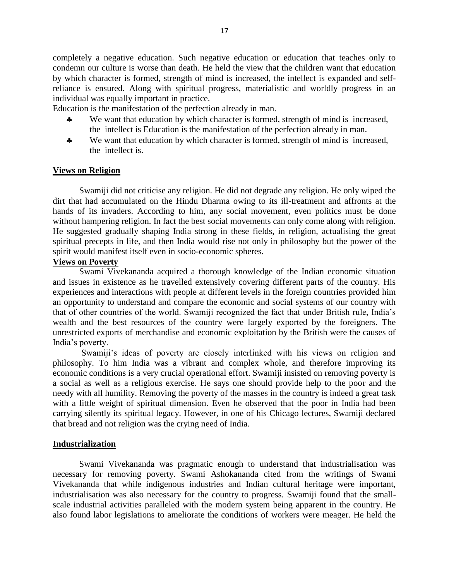completely a negative education. Such negative education or education that teaches only to condemn our culture is worse than death. He held the view that the children want that education by which character is formed, strength of mind is increased, the intellect is expanded and selfreliance is ensured. Along with spiritual progress, materialistic and worldly progress in an individual was equally important in practice.

Education is the manifestation of the perfection already in man.

- We want that education by which character is formed, strength of mind is increased, the intellect is Education is the manifestation of the perfection already in man.
- We want that education by which character is formed, strength of mind is increased, the intellect is.

## **Views on Religion**

Swamiji did not criticise any religion. He did not degrade any religion. He only wiped the dirt that had accumulated on the Hindu Dharma owing to its ill-treatment and affronts at the hands of its invaders. According to him, any social movement, even politics must be done without hampering religion. In fact the best social movements can only come along with religion. He suggested gradually shaping India strong in these fields, in religion, actualising the great spiritual precepts in life, and then India would rise not only in philosophy but the power of the spirit would manifest itself even in socio-economic spheres.

## **Views on Poverty**

Swami Vivekananda acquired a thorough knowledge of the Indian economic situation and issues in existence as he travelled extensively covering different parts of the country. His experiences and interactions with people at different levels in the foreign countries provided him an opportunity to understand and compare the economic and social systems of our country with that of other countries of the world. Swamiji recognized the fact that under British rule, India's wealth and the best resources of the country were largely exported by the foreigners. The unrestricted exports of merchandise and economic exploitation by the British were the causes of India's poverty.

Swamiji's ideas of poverty are closely interlinked with his views on religion and philosophy. To him India was a vibrant and complex whole, and therefore improving its economic conditions is a very crucial operational effort. Swamiji insisted on removing poverty is a social as well as a religious exercise. He says one should provide help to the poor and the needy with all humility. Removing the poverty of the masses in the country is indeed a great task with a little weight of spiritual dimension. Even he observed that the poor in India had been carrying silently its spiritual legacy. However, in one of his Chicago lectures, Swamiji declared that bread and not religion was the crying need of India.

## **Industrialization**

Swami Vivekananda was pragmatic enough to understand that industrialisation was necessary for removing poverty. Swami Ashokananda cited from the writings of Swami Vivekananda that while indigenous industries and Indian cultural heritage were important, industrialisation was also necessary for the country to progress. Swamiji found that the smallscale industrial activities paralleled with the modern system being apparent in the country. He also found labor legislations to ameliorate the conditions of workers were meager. He held the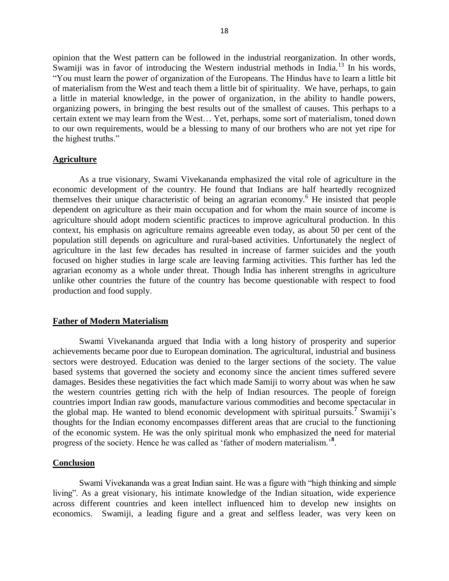opinion that the West pattern can be followed in the industrial reorganization. In other words, Swamiji was in favor of introducing the Western industrial methods in India.<sup>13</sup> In his words, "You must learn the power of organization of the Europeans. The Hindus have to learn a little bit of materialism from the West and teach them a little bit of spirituality. We have, perhaps, to gain a little in material knowledge, in the power of organization, in the ability to handle powers, organizing powers, in bringing the best results out of the smallest of causes. This perhaps to a certain extent we may learn from the West… Yet, perhaps, some sort of materialism, toned down to our own requirements, would be a blessing to many of our brothers who are not yet ripe for the highest truths."

### **Agriculture**

As a true visionary, Swami Vivekananda emphasized the vital role of agriculture in the economic development of the country. He found that Indians are half heartedly recognized themselves their unique characteristic of being an agrarian economy.<sup>6</sup> He insisted that people dependent on agriculture as their main occupation and for whom the main source of income is agriculture should adopt modern scientific practices to improve agricultural production. In this context, his emphasis on agriculture remains agreeable even today, as about 50 per cent of the population still depends on agriculture and rural-based activities. Unfortunately the neglect of agriculture in the last few decades has resulted in increase of farmer suicides and the youth focused on higher studies in large scale are leaving farming activities. This further has led the agrarian economy as a whole under threat. Though India has inherent strengths in agriculture unlike other countries the future of the country has become questionable with respect to food production and food supply.

### **Father of Modern Materialism**

Swami Vivekananda argued that India with a long history of prosperity and superior achievements became poor due to European domination. The agricultural, industrial and business sectors were destroyed. Education was denied to the larger sections of the society. The value based systems that governed the society and economy since the ancient times suffered severe damages. Besides these negativities the fact which made Samiji to worry about was when he saw the western countries getting rich with the help of Indian resources. The people of foreign countries import Indian raw goods, manufacture various commodities and become spectacular in the global map. He wanted to blend economic development with spiritual pursuits.**<sup>7</sup>** Swamiji's thoughts for the Indian economy encompasses different areas that are crucial to the functioning of the economic system. He was the only spiritual monk who emphasized the need for material progress of the society. Hence he was called as 'father of modern materialism.'**<sup>8</sup>** .

#### **Conclusion**

Swami Vivekananda was a great Indian saint. He was a figure with "high thinking and simple living". As a great visionary, his intimate knowledge of the Indian situation, wide experience across different countries and keen intellect influenced him to develop new insights on economics. Swamiji, a leading figure and a great and selfless leader, was very keen on